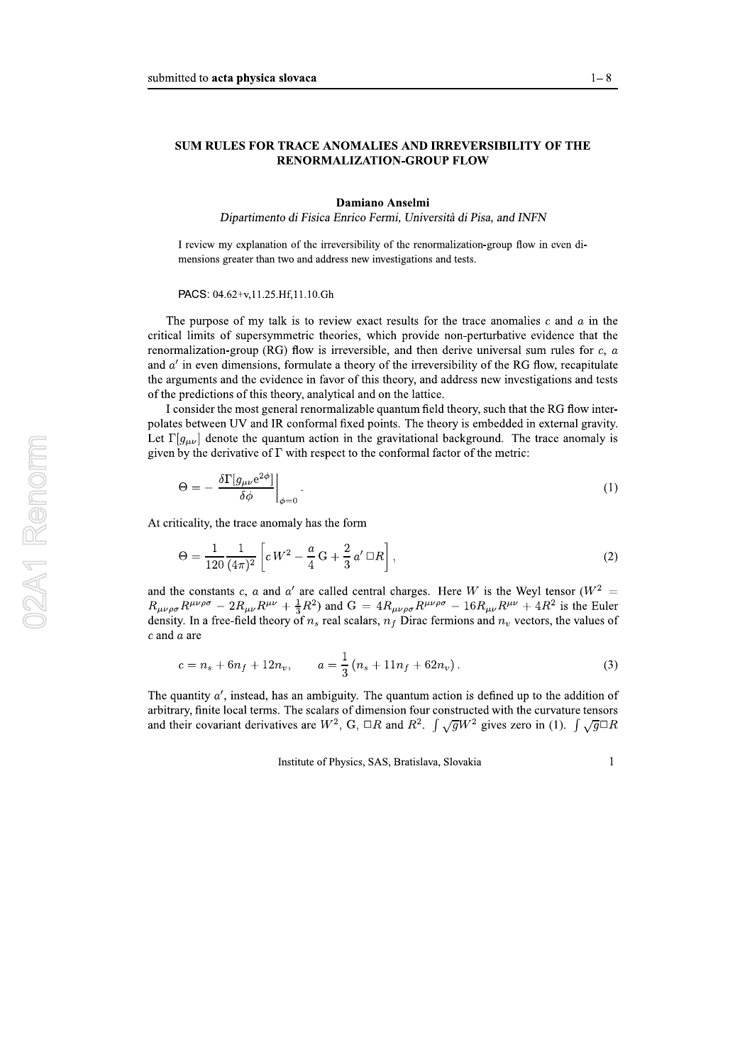I review my explanation of the irreversibility of the renormalization-group flow in even dimensions greater than two and address new investigations and tests.

## PACS: 04.62+v,11.25.Hf,11.10.Gh

<sup>1—8</sup><br> **SUM RULES FOR TRACE ANOMALIES AND IRREVERSIBILITY OF THE**<br> **RENORMALIZATION-GROUP FLOW**<br> **Damiano Anselmi**<br> *Dipartimento di Fisica Enrico Fermi, Università di Pisa, and INFN*<br>
1 review my explanation of the irreve The purpose of my talk is to review exact results for the trace anomalies  $c$  and  $a$  in the critical limits of supersymmetric theories, which provide non-perturbative evidence that the renormalization-group (RG) flow is irreversible, and then derive universal sum rules for  $c, a$ and  $a'$  in even dimensions, formulate a theory of the irreversibility of the RG flow, recapitulate the arguments and the evidence in favor of this theory, and address new investigations and tests of the predictions of this theory, analytical and on the lattice.

> I consider the most general renormalizable quantum field theory, such that the KG flow interpolates between  $UV$  and IR conformal fixed points. The theory is embedded in external gravity. Let  $\Gamma[g_{\mu\nu}]$  denote the quantum action in the gravitational background. The trace anomaly is given by the derivative of 1 with respect to the conformal factor of the metric:

$$
\Theta = -\left. \frac{\delta \Gamma[g_{\mu\nu} e^{2\phi}]}{\delta \phi} \right|_{\phi=0} . \tag{1}
$$

At criticality, the trace anomaly has the form

$$
\Theta = \frac{1}{120} \frac{1}{(4\pi)^2} \left[ c \, W^2 - \frac{a}{4} \, G + \frac{2}{3} \, a' \, \Box R \right],\tag{2}
$$

and the constants c, a and a' are called central charges. Here W is the Weyl tensor ( $W^2$  =  $R_{\mu\nu\rho\sigma}R^{\mu\nu\rho\sigma} - 2R_{\mu\nu}R^{\mu\nu} + \frac{1}{3}R^2$  and  $G = 4R_{\mu\nu\rho\sigma}R^{\mu\nu\rho\sigma} - 16R_{\mu\nu}R^{\mu\nu} + 4R^2$  is the Euler density. In a free-field theory of  $n_s$  real scalars,  $n_f$  Dirac fermions and  $n_v$  vectors, the values of  $c$  and  $a$  are

$$
c = n_s + 6n_f + 12n_v, \qquad a = \frac{1}{3}(n_s + 11n_f + 62n_v).
$$
 (3)

The quantity  $a'$ , instead, has an ambiguity. The quantum action is defined up to the addition of arbitrary, finite local terms. The scalars of dimension four constructed with the curvature tensors and their covariant derivatives are  $W^2$ , G,  $\Box R$  and  $R^2$ .  $\int \sqrt{g}W^2$  gives zero in (1).  $\int \sqrt{g}\Box R$ 

Institute of Physics, SAS, Bratislava, Slovakia 1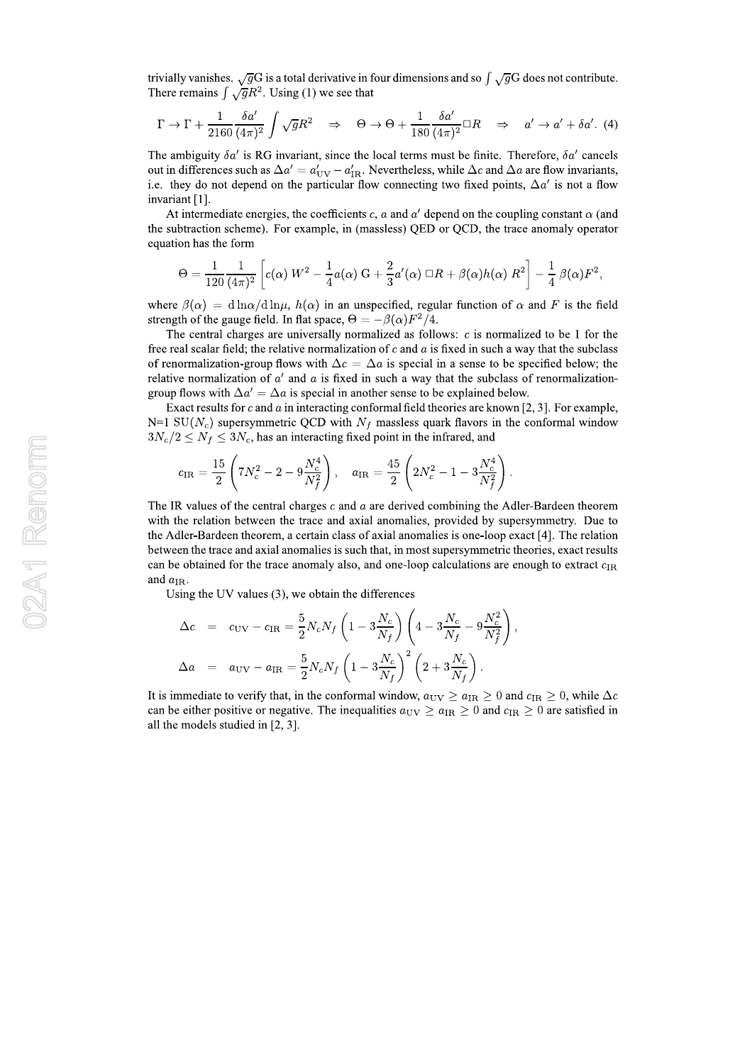trivially vanishes.  $\sqrt{g}G$  is a total derivative in four dimensions and so  $\int \sqrt{g}G$  does not contribute. There remains  $\int \sqrt{g}R^2$ . Using (1) we see that

$$
\Gamma \to \Gamma + \frac{1}{2160} \frac{\delta a'}{(4\pi)^2} \int \sqrt{g} R^2 \quad \Rightarrow \quad \Theta \to \Theta + \frac{1}{180} \frac{\delta a'}{(4\pi)^2} \Box R \quad \Rightarrow \quad a' \to a' + \delta a'. \tag{4}
$$

The ambiguity  $\delta a'$  is RG invariant, since the local terms must be finite. Therefore,  $\delta a'$  cancels out in differences such as  $\Delta a' = a'_{UV} - a'_{IR}$ . Nevertheless, while  $\Delta c$  and  $\Delta a$  are flow invariants, i.e. they do not depend on the particular flow connecting two fixed points,  $\Delta a'$  is not a flow invariant [1].

At intermediate energies, the coefficients c, a and  $a'$  depend on the coupling constant  $\alpha$  (and the subtraction scheme). For example, in (massless) QED or QCD, the trace anomaly operator equation has the form

$$
\Theta = \frac{1}{120} \frac{1}{(4\pi)^2} \left[ c(\alpha) W^2 - \frac{1}{4} a(\alpha) G + \frac{2}{3} a'(\alpha) \Box R + \beta(\alpha) h(\alpha) R^2 \right] - \frac{1}{4} \beta(\alpha) F^2,
$$

where  $\beta(\alpha) = d \ln \alpha / d \ln \mu$ ,  $h(\alpha)$  in an unspecified, regular function of  $\alpha$  and F is the field strength of the gauge field. In flat space,  $\Theta = -\beta(\alpha)F^2/4$ .

The central charges are universally normalized as follows:  $c$  is normalized to be 1 for the free real scalar field; the relative normalization of  $c$  and  $a$  is fixed in such a way that the subclass of renormalization-group flows with  $\Delta c = \Delta a$  is special in a sense to be specified below; the relative normalization of  $a'$  and a is fixed in such a way that the subclass of renormalizationgroup flows with  $\Delta a' = \Delta a$  is special in another sense to be explained below.

Exact results for c and  $a$  in interacting conformal field theories are known [2, 3]. For example,  $N=1$  SU( $N_c$ ) supersymmetric QCD with  $N_f$  massless quark flavors in the conformal window  $3N_c/2 \leq N_f \leq 3N_c$ , has an interacting fixed point in the infrared, and

$$
c_{\rm IR} = \frac{15}{2} \left( 7N_c^2 - 2 - 9 \frac{N_c^4}{N_f^2} \right), \quad a_{\rm IR} = \frac{45}{2} \left( 2N_c^2 - 1 - 3 \frac{N_c^4}{N_f^2} \right)
$$

The IR values of the central charges  $c$  and  $a$  are derived combining the Adler-Bardeen theorem with the relation between the trace and axial anomalies, provided by supersymmetry. Due to the Adler-Bardeen theorem, a certain class of axial anomalies is one-loop exact [4]. The relation between the trace and axial anomalies is such that, in most supersymmetric theories, exact results can be obtained for the trace anomaly also, and one-loop calculations are enough to extract  $c_{IR}$ and  $a_{IR}$ .

Using the UV values  $(3)$ , we obtain the differences

$$
\Delta c = c_{\rm UV} - c_{\rm IR} = \frac{5}{2} N_c N_f \left( 1 - 3 \frac{N_c}{N_f} \right) \left( 4 - 3 \frac{N_c}{N_f} - 9 \frac{N_c^2}{N_f^2} \right),
$$
  

$$
\Delta a = a_{\rm UV} - a_{\rm IR} = \frac{5}{2} N_c N_f \left( 1 - 3 \frac{N_c}{N_f} \right)^2 \left( 2 + 3 \frac{N_c}{N_f} \right).
$$

It is immediate to verify that, in the conformal window,  $a_{\rm UV} \ge a_{\rm IR} \ge 0$  and  $c_{\rm IR} \ge 0$ , while  $\Delta c$ can be either positive or negative. The inequalities  $a_{\rm UV} \ge a_{\rm IR} \ge 0$  and  $c_{\rm IR} \ge 0$  are satisfied in all the models studied in [2, 3].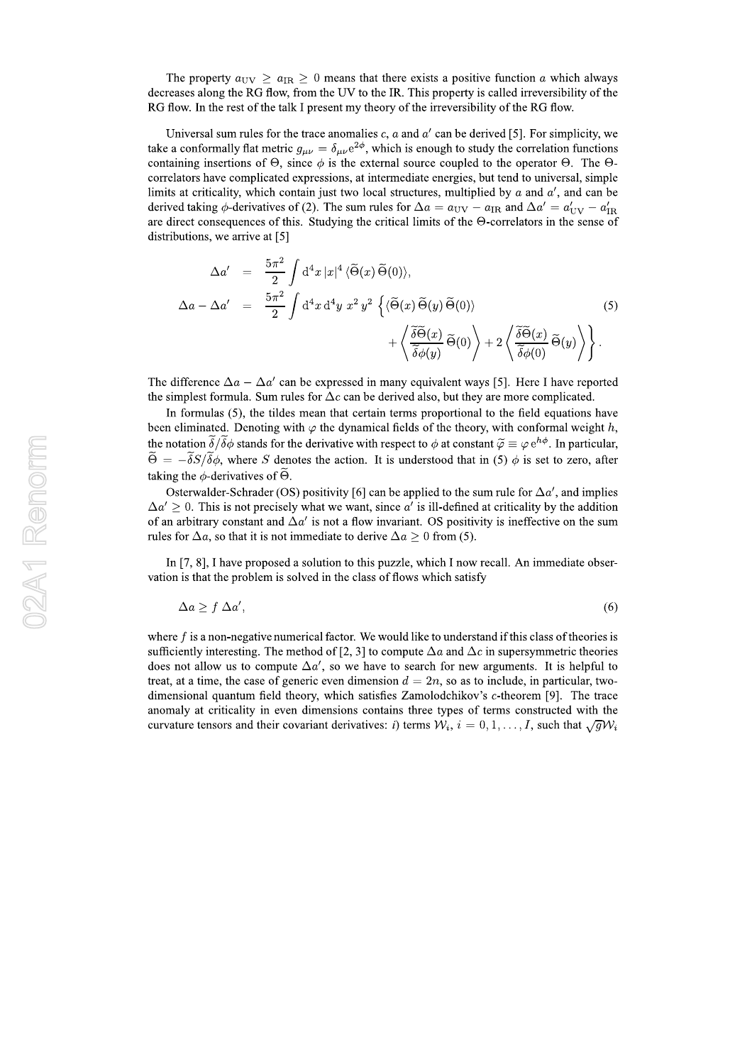The property  $a_{\text{UV}} \ge a_{\text{IR}} \ge 0$  means that there exists a positive function a which always decreases along the RG flow, from the UV to the IR. This property is called irreversibility of the RG flow. In the rest of the talk I present my theory of the irreversibility of the RG flow.

Universal sum rules for the trace anomalies c,  $a$  and  $a'$  can be derived [5]. For simplicity, we take a conformally flat metric  $g_{\mu\nu} = \delta_{\mu\nu} e^{2\phi}$ , which is enough to study the correlation functions containing insertions of  $\Theta$ , since  $\phi$  is the external source coupled to the operator  $\Theta$ . The  $\Theta$ correlators have complicated expressions, at intermediate energies, but tend to universal, simple limits at criticality, which contain just two local structures, multiplied by  $\alpha$  and  $\alpha'$ , and can be derived taking  $\phi$ -derivatives of (2). The sum rules for  $\Delta a = a_{\rm UV} - a_{\rm IR}$  and  $\Delta a' = a'_{\rm UV} - a'_{\rm IR}$ are direct consequences of this. Studying the critical limits of the  $\Theta$ -correlators in the sense of distributions, we arrive at [5]

$$
\Delta a' = \frac{5\pi^2}{2} \int d^4x \, |x|^4 \, \langle \widetilde{\Theta}(x) \widetilde{\Theta}(0) \rangle,
$$
  
\n
$$
\Delta a - \Delta a' = \frac{5\pi^2}{2} \int d^4x \, d^4y \, x^2 \, y^2 \, \left\{ \langle \widetilde{\Theta}(x) \widetilde{\Theta}(y) \widetilde{\Theta}(0) \rangle \right.\n \left. + \left\langle \frac{\widetilde{\delta \Theta}(x)}{\widetilde{\delta} \phi(y)} \widetilde{\Theta}(0) \right\rangle + 2 \left\langle \frac{\widetilde{\delta \Theta}(x)}{\widetilde{\delta} \phi(0)} \widetilde{\Theta}(y) \right\rangle \right\}.
$$
\n(5)

The difference  $\Delta a - \Delta a'$  can be expressed in many equivalent ways [5]. Here I have reported the simplest formula. Sum rules for  $\Delta c$  can be derived also, but they are more complicated.

In formulas  $(5)$ , the tildes mean that certain terms proportional to the field equations have been eliminated. Denoting with  $\varphi$  the dynamical fields of the theory, with conformal weight h, the notation  $\tilde{\delta}/\tilde{\delta}\phi$  stands for the derivative with respect to  $\phi$  at constant  $\tilde{\varphi} \equiv \varphi e^{h\phi}$ . In particular,  $\widetilde{\Theta} = -\widetilde{\delta}S/\widetilde{\delta}\phi$ , where S denotes the action. It is understood that in (5)  $\phi$  is set to zero, after taking the  $\phi$ -derivatives of  $\widetilde{\Theta}$ .

Osterwalder-Schrader (OS) positivity [6] can be applied to the sum rule for  $\Delta a'$ , and implies  $\Delta a' \geq 0$ . This is not precisely what we want, since a' is ill-defined at criticality by the addition of an arbitrary constant and  $\Delta a'$  is not a flow invariant. OS positivity is ineffective on the sum rules for  $\Delta a$ , so that it is not immediate to derive  $\Delta a \geq 0$  from (5).

In  $[7, 8]$ , I have proposed a solution to this puzzle, which I now recall. An immediate observation is that the problem is solved in the class of flows which satisfy

$$
\Delta a \ge f \,\Delta a',\tag{6}
$$

where  $f$  is a non-negative numerical factor. We would like to understand if this class of theories is sufficiently interesting. The method of [2, 3] to compute  $\Delta a$  and  $\Delta c$  in supersymmetric theories does not allow us to compute  $\Delta a'$ , so we have to search for new arguments. It is helpful to treat, at a time, the case of generic even dimension  $d = 2n$ , so as to include, in particular, twodimensional quantum field theory, which satisfies Zamolodchikov's  $c$ -theorem [9]. The trace anomaly at criticality in even dimensions contains three types of terms constructed with the curvature tensors and their covariant derivatives: i) terms  $W_i$ ,  $i = 0, 1, ..., I$ , such that  $\sqrt{g}W_i$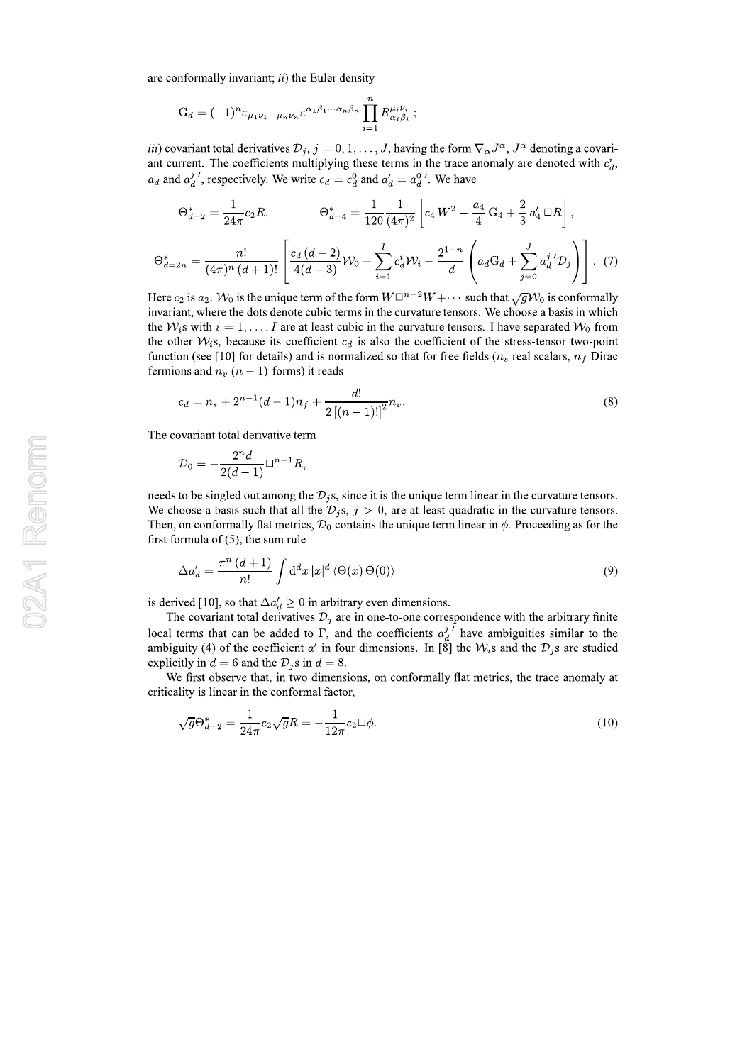are conformally invariant;  $ii$ ) the Euler density

$$
G_d = (-1)^n \varepsilon_{\mu_1 \nu_1 \cdots \mu_n \nu_n} \varepsilon^{\alpha_1 \beta_1 \cdots \alpha_n \beta_n} \prod_{i=1}^n R_{\alpha_i \beta_i}^{\mu_i \nu_i} ;
$$

*iii*) covariant total derivatives  $\mathcal{D}_j$ ,  $j = 0, 1, ..., J$ , having the form  $\nabla_{\alpha} J^{\alpha}$ ,  $J^{\alpha}$  denoting a covariant current. The coefficients multiplying these terms in the trace anomaly are denoted with  $c_d^i$ ,  $a_d$  and  $a_d^j'$ , respectively. We write  $c_d = c_d^0$  and  $a_d' = a_d^0'$ . We have

$$
\Theta_{d=2}^{*} = \frac{1}{24\pi} c_2 R, \qquad \Theta_{d=4}^{*} = \frac{1}{120} \frac{1}{(4\pi)^2} \left[ c_4 W^2 - \frac{a_4}{4} G_4 + \frac{2}{3} a'_4 \,\Box R \right],
$$

$$
\Theta_{d=2n}^{*} = \frac{n!}{(4\pi)^n (d+1)!} \left[ \frac{c_d (d-2)}{4(d-3)} \mathcal{W}_0 + \sum_{i=1}^I c_d^i \mathcal{W}_i - \frac{2^{1-n}}{d} \left( a_d G_d + \sum_{j=0}^J a_d^j' \mathcal{D}_j \right) \right].
$$
 (7)

Here  $c_2$  is  $a_2$ .  $W_0$  is the unique term of the form  $W\Box^{n-2}W + \cdots$  such that  $\sqrt{g}W_0$  is conformally invariant, where the dots denote cubic terms in the curvature tensors. We choose a basis in which the  $W_i$ s with  $i = 1, ..., I$  are at least cubic in the curvature tensors. I have separated  $W_0$  from the other  $W_i$ s, because its coefficient  $c_d$  is also the coefficient of the stress-tensor two-point function (see [10] for details) and is normalized so that for free fields  $(n_s$  real scalars,  $n_f$  Dirac fermions and  $n<sub>v</sub>$  ( $n-1$ )-forms) it reads

$$
c_d = n_s + 2^{n-1}(d-1)n_f + \frac{d!}{2\left[ (n-1)! \right]^2} n_v.
$$
\n(8)

The covariant total derivative term

$$
\mathcal{D}_0=-\frac{2^n d}{2(d-1)}\Box^{n-1}R,
$$

needs to be singled out among the  $\mathcal{D}_i$ s, since it is the unique term linear in the curvature tensors. We choose a basis such that all the  $\mathcal{D}_i$ s,  $j > 0$ , are at least quadratic in the curvature tensors. Then, on conformally flat metrics,  $\mathcal{D}_0$  contains the unique term linear in  $\phi$ . Proceeding as for the first formula of  $(5)$ , the sum rule

$$
\Delta a'_d = \frac{\pi^n (d+1)}{n!} \int d^d x |x|^d \langle \Theta(x) \Theta(0) \rangle \tag{9}
$$

is derived [10], so that  $\Delta a'_d \geq 0$  in arbitrary even dimensions.

The covariant total derivatives  $\mathcal{D}_j$  are in one-to-one correspondence with the arbitrary finite local terms that can be added to  $\Gamma$ , and the coefficients  $a_d^j$  have ambiguities similar to the ambiguity (4) of the coefficient a' in four dimensions. In [8] the  $W_i$ s and the  $\mathcal{D}_i$ s are studied explicitly in  $d = 6$  and the  $\mathcal{D}_i$ s in  $d = 8$ .

We first observe that, in two dimensions, on conformally flat metrics, the trace anomaly at criticality is linear in the conformal factor,

$$
\sqrt{g}\Theta_{d=2}^{*} = \frac{1}{24\pi}c_2\sqrt{g}R = -\frac{1}{12\pi}c_2\Box\phi.
$$
\n(10)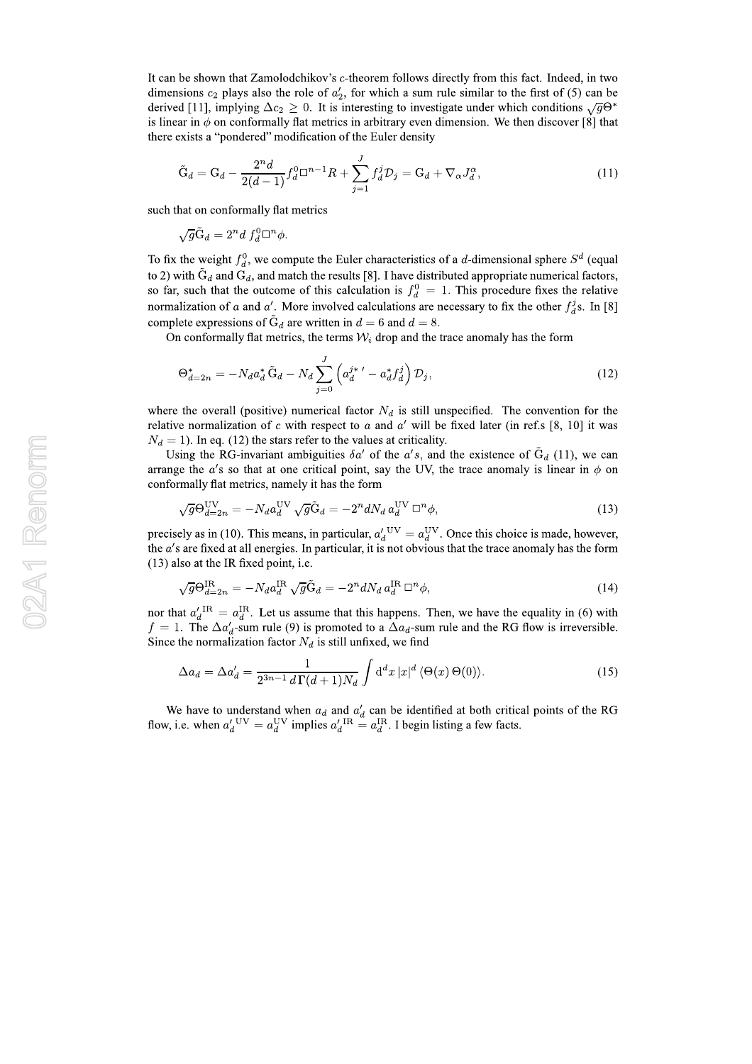It can be shown that Zamolodchikov's c-theorem follows directly from this fact. Indeed, in two dimensions  $c_2$  plays also the role of  $a'_2$ , for which a sum rule similar to the first of (5) can be derived [11], implying  $\Delta c_2 \geq 0$ . It is interesting to investigate under which conditions  $\sqrt{g}\Theta^*$ is linear in  $\phi$  on conformally flat metrics in arbitrary even dimension. We then discover [8] that there exists a "pondered" modification of the Euler density

$$
\tilde{G}_d = G_d - \frac{2^n d}{2(d-1)} f_d^0 \Box^{n-1} R + \sum_{j=1}^J f_d^j \mathcal{D}_j = G_d + \nabla_\alpha J_d^\alpha,
$$
\n(11)

such that on conformally flat metrics

$$
\sqrt{g}\tilde{\mathcal{G}}_d = 2^n d f_d^0 \Box^n \phi.
$$

To fix the weight  $f_d^0$ , we compute the Euler characteristics of a d-dimensional sphere  $S^d$  (equal to 2) with  $\ddot{G}_d$  and  $G_d$ , and match the results [8]. I have distributed appropriate numerical factors, so far, such that the outcome of this calculation is  $f_d^0 = 1$ . This procedure fixes the relative normalization of a and a'. More involved calculations are necessary to fix the other  $f_d^j$ s. In [8] complete expressions of  $\tilde{G}_d$  are written in  $d = 6$  and  $d = 8$ .

On conformally flat metrics, the terms  $W_i$  drop and the trace anomaly has the form

$$
\Theta_{d=2n}^* = -N_d a_d^* \tilde{\Theta}_d - N_d \sum_{j=0}^J \left( a_d^{j*}{}' - a_d^* f_d^j \right) \mathcal{D}_j, \qquad (12)
$$

where the overall (positive) numerical factor  $N_d$  is still unspecified. The convention for the relative normalization of c with respect to a and a' will be fixed later (in ref.s [8, 10] it was  $N_d = 1$ ). In eq. (12) the stars refer to the values at criticality.

Using the RG-invariant ambiguities  $\delta a'$  of the a's, and the existence of  $\tilde{G}_d$  (11), we can arrange the a's so that at one critical point, say the UV, the trace anomaly is linear in  $\phi$  on conformally flat metrics, namely it has the form

$$
\sqrt{g}\Theta_{d=2n}^{\text{UV}} = -N_d a_d^{\text{UV}} \sqrt{g}\tilde{G}_d = -2^n dN_d a_d^{\text{UV}} \square^n \phi,
$$
\n(13)

precisely as in (10). This means, in particular,  $a_d^{\prime}$ <sup>UV</sup> =  $a_d^{\rm UV}$ . Once this choice is made, however, the  $a$ 's are fixed at all energies. In particular, it is not obvious that the trace anomaly has the form  $(13)$  also at the IR fixed point, i.e.

$$
\sqrt{g}\Theta_{d=2n}^{\text{IR}} = -N_d a_d^{\text{IR}} \sqrt{g}\tilde{\mathbf{G}}_d = -2^n dN_d a_d^{\text{IR}} \square^n \phi,
$$
\n(14)

nor that  $a'_d{}^{\text{IR}} = a_d^{\text{IR}}$ . Let us assume that this happens. Then, we have the equality in (6) with  $f = 1$ . The  $\Delta a_d'$ -sum rule (9) is promoted to a  $\Delta a_d$ -sum rule and the RG flow is irreversible. Since the normalization factor  $N_d$  is still unfixed, we find

$$
\Delta a_d = \Delta a'_d = \frac{1}{2^{3n-1} d\Gamma(d+1) N_d} \int d^d x |x|^d \langle \Theta(x) \Theta(0) \rangle.
$$
 (15)

We have to understand when  $a_d$  and  $a'_d$  can be identified at both critical points of the RG flow, i.e. when  $a'_d{}^{\text{UV}} = a_d^{\text{UV}}$  implies  $a'_d{}^{\text{IR}} = a_d^{\text{IR}}$ . I begin listing a few facts.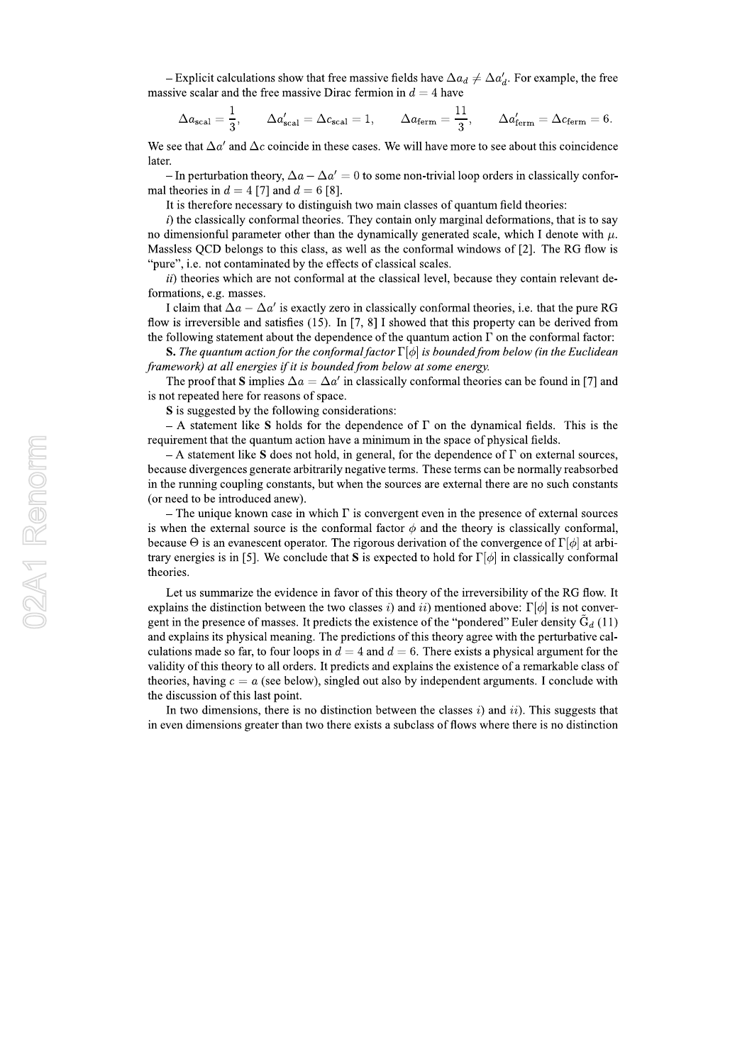- Explicit calculations show that free massive fields have  $\Delta a_d \neq \Delta a'_d$ . For example, the free massive scalar and the free massive Dirac fermion in  $d = 4$  have

$$
\Delta a_{\text{scal}} = \frac{1}{3}, \qquad \Delta a'_{\text{scal}} = \Delta c_{\text{scal}} = 1, \qquad \Delta a_{\text{ferm}} = \frac{11}{3}, \qquad \Delta a'_{\text{ferm}} = \Delta c_{\text{ferm}} = 6.
$$

We see that  $\Delta a'$  and  $\Delta c$  coincide in these cases. We will have more to see about this coincidence later.

- In perturbation theory,  $\Delta a - \Delta a' = 0$  to some non-trivial loop orders in classically conformal theories in  $d = 4$  [7] and  $d = 6$  [8].

It is therefore necessary to distinguish two main classes of quantum field theories:

 $i)$  the classically conformal theories. They contain only marginal deformations, that is to say no dimensionful parameter other than the dynamically generated scale, which I denote with  $\mu$ . Massless OCD belongs to this class, as well as the conformal windows of [2]. The RG flow is "pure", i.e. not contaminated by the effects of classical scales.

*ii*) theories which are not conformal at the classical level, because they contain relevant deformations, e.g. masses.

I claim that  $\Delta a - \Delta a'$  is exactly zero in classically conformal theories, i.e. that the pure RG flow is irreversible and satisfies (15). In [7, 8] I showed that this property can be derived from the following statement about the dependence of the quantum action  $\Gamma$  on the conformal factor:

**S.** The quantum action for the conformal factor  $\Gamma[\phi]$  is bounded from below (in the Euclidean framework) at all energies if it is bounded from below at some energy.

The proof that S implies  $\Delta a = \Delta a'$  in classically conformal theories can be found in [7] and is not repeated here for reasons of space.

S is suggested by the following considerations:

A statement like S holds for the dependence of  $\Gamma$  on the dynamical fields. This is the requirement that the quantum action have a minimum in the space of physical fields.

- A statement like S does not hold, in general, for the dependence of  $\Gamma$  on external sources, because divergences generate arbitrarily negative terms. These terms can be normally reabsorbed in the running coupling constants, but when the sources are external there are no such constants (or need to be introduced anew).

– The unique known case in which  $\Gamma$  is convergent even in the presence of external sources is when the external source is the conformal factor  $\phi$  and the theory is classically conformal, because  $\Theta$  is an evanescent operator. The rigorous derivation of the convergence of  $\Gamma[\phi]$  at arbitrary energies is in [5]. We conclude that S is expected to hold for  $\Gamma[\phi]$  in classically conformal theories.

Let us summarize the evidence in favor of this theory of the irreversibility of the RG flow. It explains the distinction between the two classes *i*) and *ii*) mentioned above:  $\Gamma[\phi]$  is not convergent in the presence of masses. It predicts the existence of the "pondered" Euler density  $\tilde{G}_d$  (11) and explains its physical meaning. The predictions of this theory agree with the perturbative calculations made so far, to four loops in  $d = 4$  and  $d = 6$ . There exists a physical argument for the validity of this theory to all orders. It predicts and explains the existence of a remarkable class of theories, having  $c = a$  (see below), singled out also by independent arguments. I conclude with the discussion of this last point.

In two dimensions, there is no distinction between the classes  $i$ ) and  $ii$ ). This suggests that in even dimensions greater than two there exists a subclass of flows where there is no distinction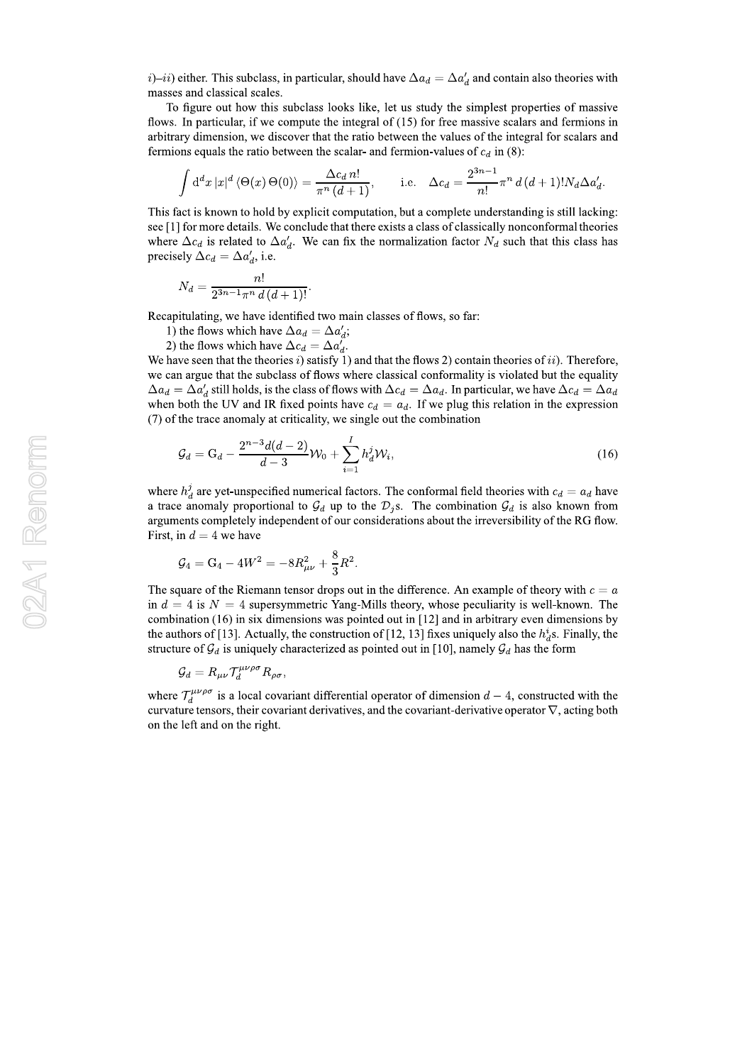$(i)$ -ii) either. This subclass, in particular, should have  $\Delta a_d = \Delta a'_d$  and contain also theories with masses and classical scales.

To figure out how this subclass looks like, let us study the simplest properties of massive flows. In particular, if we compute the integral of (15) for free massive scalars and fermions in arbitrary dimension, we discover that the ratio between the values of the integral for scalars and fermions equals the ratio between the scalar- and fermion-values of  $c_d$  in (8):

$$
\int d^d x |x|^d \langle \Theta(x) \Theta(0) \rangle = \frac{\Delta c_d n!}{\pi^n (d+1)}, \quad \text{i.e.} \quad \Delta c_d = \frac{2^{3n-1}}{n!} \pi^n d(d+1)! N_d \Delta a'_d.
$$

This fact is known to hold by explicit computation, but a complete understanding is still lacking: see [1] for more details. We conclude that there exists a class of classically nonconformal theories where  $\Delta c_d$  is related to  $\Delta a'_d$ . We can fix the normalization factor  $N_d$  such that this class has precisely  $\Delta c_d = \Delta a'_d$ , i.e.

$$
N_d = \frac{n!}{2^{3n-1}\pi^n d\,(d+1)!}
$$

Recapitulating, we have identified two main classes of flows, so far:

1) the flows which have  $\Delta a_d = \Delta a'_d$ ;

2) the flows which have  $\Delta c_d = \Delta a'_d$ .

We have seen that the theories i) satisfy 1) and that the flows 2) contain theories of ii). Therefore, we can argue that the subclass of flows where classical conformality is violated but the equality  $\Delta a_d = \Delta a'_d$  still holds, is the class of flows with  $\Delta c_d = \Delta a_d$ . In particular, we have  $\Delta c_d = \Delta a_d$ when both the UV and IR fixed points have  $c_d = a_d$ . If we plug this relation in the expression (7) of the trace anomaly at criticality, we single out the combination

$$
\mathcal{G}_d = \mathcal{G}_d - \frac{2^{n-3}d(d-2)}{d-3}\mathcal{W}_0 + \sum_{i=1}^I h_d^j \mathcal{W}_i,\tag{16}
$$

where  $h_d^j$  are yet-unspecified numerical factors. The conformal field theories with  $c_d = a_d$  have a trace anomaly proportional to  $\mathcal{G}_d$  up to the  $\mathcal{D}_i$ s. The combination  $\mathcal{G}_d$  is also known from arguments completely independent of our considerations about the irreversibility of the RG flow. First, in  $d = 4$  we have

$$
\mathcal{G}_4 = \mathrm{G}_4 - 4 W^2 = -8 R_{\mu\nu}^2 + \frac{8}{3} R^2.
$$

The square of the Riemann tensor drops out in the difference. An example of theory with  $c = a$ in  $d = 4$  is  $N = 4$  supersymmetric Yang-Mills theory, whose peculiarity is well-known. The combination  $(16)$  in six dimensions was pointed out in [12] and in arbitrary even dimensions by the authors of [13]. Actually, the construction of [12, 13] fixes uniquely also the  $h_d^i$ s. Finally, the structure of  $\mathcal{G}_d$  is uniquely characterized as pointed out in [10], namely  $\mathcal{G}_d$  has the form

$$
\mathcal{G}_d = R_{\mu\nu} \mathcal{T}_d^{\mu\nu\rho\sigma} R_{\rho\sigma}
$$

where  $\mathcal{T}_d^{\mu\nu\rho\sigma}$  is a local covariant differential operator of dimension  $d-4$ , constructed with the curvature tensors, their covariant derivatives, and the covariant-derivative operator  $\nabla$ , acting both on the left and on the right.